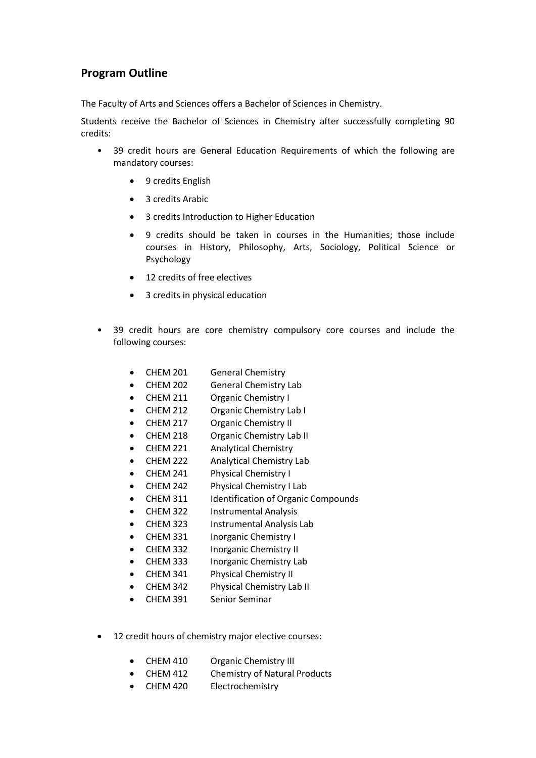## **Program Outline**

The Faculty of Arts and Sciences offers a Bachelor of Sciences in Chemistry.

Students receive the Bachelor of Sciences in Chemistry after successfully completing 90 credits:

- 39 credit hours are General Education Requirements of which the following are mandatory courses:
	- 9 credits English
	- 3 credits Arabic
	- 3 credits Introduction to Higher Education
	- 9 credits should be taken in courses in the Humanities; those include courses in History, Philosophy, Arts, Sociology, Political Science or Psychology
	- 12 credits of free electives
	- 3 credits in physical education
- 39 credit hours are core chemistry compulsory core courses and include the following courses:
	- CHEM 201 General Chemistry
	- CHEM 202 General Chemistry Lab
	- CHEM 211 Organic Chemistry I
	- CHEM 212 Organic Chemistry Lab I
	- CHEM 217 Organic Chemistry II
	- CHEM 218 Organic Chemistry Lab II
	- CHEM 221 Analytical Chemistry
	- CHEM 222 Analytical Chemistry Lab
	- CHEM 241 Physical Chemistry I
	- CHEM 242 Physical Chemistry I Lab
	- CHEM 311 Identification of Organic Compounds
	- CHEM 322 Instrumental Analysis
	- CHEM 323 Instrumental Analysis Lab
	- CHEM 331 Inorganic Chemistry I
	- CHEM 332 Inorganic Chemistry II
	- CHEM 333 Inorganic Chemistry Lab
	- CHEM 341 Physical Chemistry II
	- CHEM 342 Physical Chemistry Lab II
	- CHEM 391 Senior Seminar
- 12 credit hours of chemistry major elective courses:
	- CHEM 410 Organic Chemistry III
	- CHEM 412 Chemistry of Natural Products
	- CHEM 420 Electrochemistry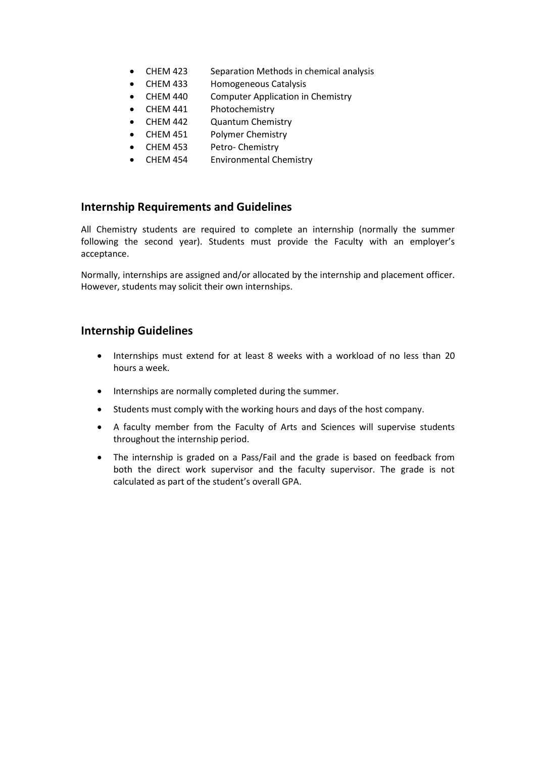- CHEM 423 Separation Methods in chemical analysis
- CHEM 433 Homogeneous Catalysis
- CHEM 440 Computer Application in Chemistry
- CHEM 441 Photochemistry
- CHEM 442 Quantum Chemistry
- CHEM 451 Polymer Chemistry
- CHEM 453 Petro- Chemistry
- CHEM 454 Environmental Chemistry

## **Internship Requirements and Guidelines**

All Chemistry students are required to complete an internship (normally the summer following the second year). Students must provide the Faculty with an employer's acceptance.

Normally, internships are assigned and/or allocated by the internship and placement officer. However, students may solicit their own internships.

## **Internship Guidelines**

- Internships must extend for at least 8 weeks with a workload of no less than 20 hours a week.
- Internships are normally completed during the summer.
- Students must comply with the working hours and days of the host company.
- A faculty member from the Faculty of Arts and Sciences will supervise students throughout the internship period.
- The internship is graded on a Pass/Fail and the grade is based on feedback from both the direct work supervisor and the faculty supervisor. The grade is not calculated as part of the student's overall GPA.